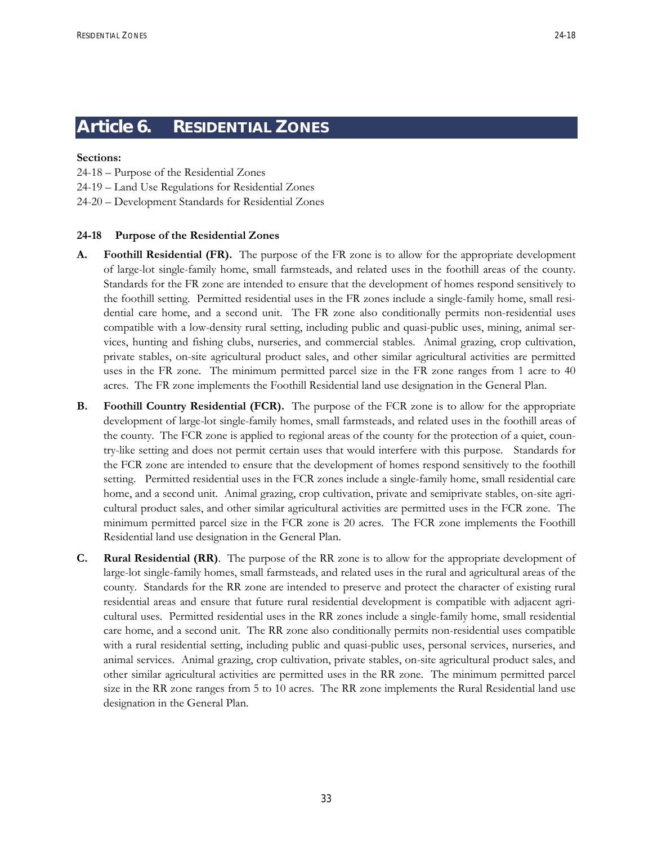# **Article 6. RESIDENTIAL ZONES**

## **Sections:**

- 24-18 Purpose of the Residential Zones
- 24-19 Land Use Regulations for Residential Zones
- 24-20 Development Standards for Residential Zones

# **24-18 Purpose of the Residential Zones**

- **A. Foothill Residential (FR).** The purpose of the FR zone is to allow for the appropriate development of large-lot single-family home, small farmsteads, and related uses in the foothill areas of the county. Standards for the FR zone are intended to ensure that the development of homes respond sensitively to the foothill setting. Permitted residential uses in the FR zones include a single-family home, small residential care home, and a second unit. The FR zone also conditionally permits non-residential uses compatible with a low-density rural setting, including public and quasi-public uses, mining, animal services, hunting and fishing clubs, nurseries, and commercial stables. Animal grazing, crop cultivation, private stables, on-site agricultural product sales, and other similar agricultural activities are permitted uses in the FR zone. The minimum permitted parcel size in the FR zone ranges from 1 acre to 40 acres. The FR zone implements the Foothill Residential land use designation in the General Plan.
- **B. Foothill Country Residential (FCR).** The purpose of the FCR zone is to allow for the appropriate development of large-lot single-family homes, small farmsteads, and related uses in the foothill areas of the county. The FCR zone is applied to regional areas of the county for the protection of a quiet, country-like setting and does not permit certain uses that would interfere with this purpose. Standards for the FCR zone are intended to ensure that the development of homes respond sensitively to the foothill setting. Permitted residential uses in the FCR zones include a single-family home, small residential care home, and a second unit. Animal grazing, crop cultivation, private and semiprivate stables, on-site agricultural product sales, and other similar agricultural activities are permitted uses in the FCR zone. The minimum permitted parcel size in the FCR zone is 20 acres. The FCR zone implements the Foothill Residential land use designation in the General Plan.
- **C. Rural Residential (RR)**. The purpose of the RR zone is to allow for the appropriate development of large-lot single-family homes, small farmsteads, and related uses in the rural and agricultural areas of the county. Standards for the RR zone are intended to preserve and protect the character of existing rural residential areas and ensure that future rural residential development is compatible with adjacent agricultural uses. Permitted residential uses in the RR zones include a single-family home, small residential care home, and a second unit. The RR zone also conditionally permits non-residential uses compatible with a rural residential setting, including public and quasi-public uses, personal services, nurseries, and animal services. Animal grazing, crop cultivation, private stables, on-site agricultural product sales, and other similar agricultural activities are permitted uses in the RR zone. The minimum permitted parcel size in the RR zone ranges from 5 to 10 acres. The RR zone implements the Rural Residential land use designation in the General Plan.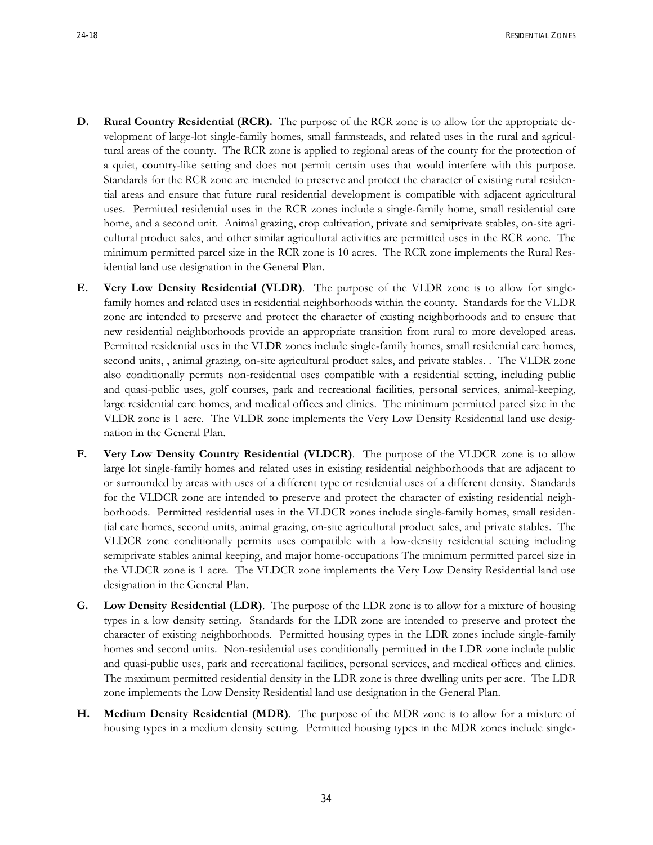- **D. Rural Country Residential (RCR).** The purpose of the RCR zone is to allow for the appropriate development of large-lot single-family homes, small farmsteads, and related uses in the rural and agricultural areas of the county. The RCR zone is applied to regional areas of the county for the protection of a quiet, country-like setting and does not permit certain uses that would interfere with this purpose. Standards for the RCR zone are intended to preserve and protect the character of existing rural residential areas and ensure that future rural residential development is compatible with adjacent agricultural uses. Permitted residential uses in the RCR zones include a single-family home, small residential care home, and a second unit. Animal grazing, crop cultivation, private and semiprivate stables, on-site agricultural product sales, and other similar agricultural activities are permitted uses in the RCR zone. The minimum permitted parcel size in the RCR zone is 10 acres. The RCR zone implements the Rural Residential land use designation in the General Plan.
- **E. Very Low Density Residential (VLDR)**. The purpose of the VLDR zone is to allow for singlefamily homes and related uses in residential neighborhoods within the county. Standards for the VLDR zone are intended to preserve and protect the character of existing neighborhoods and to ensure that new residential neighborhoods provide an appropriate transition from rural to more developed areas. Permitted residential uses in the VLDR zones include single-family homes, small residential care homes, second units, , animal grazing, on-site agricultural product sales, and private stables. . The VLDR zone also conditionally permits non-residential uses compatible with a residential setting, including public and quasi-public uses, golf courses, park and recreational facilities, personal services, animal-keeping, large residential care homes, and medical offices and clinics. The minimum permitted parcel size in the VLDR zone is 1 acre. The VLDR zone implements the Very Low Density Residential land use designation in the General Plan.
- **F. Very Low Density Country Residential (VLDCR)**. The purpose of the VLDCR zone is to allow large lot single-family homes and related uses in existing residential neighborhoods that are adjacent to or surrounded by areas with uses of a different type or residential uses of a different density. Standards for the VLDCR zone are intended to preserve and protect the character of existing residential neighborhoods. Permitted residential uses in the VLDCR zones include single-family homes, small residential care homes, second units, animal grazing, on-site agricultural product sales, and private stables. The VLDCR zone conditionally permits uses compatible with a low-density residential setting including semiprivate stables animal keeping, and major home-occupations The minimum permitted parcel size in the VLDCR zone is 1 acre. The VLDCR zone implements the Very Low Density Residential land use designation in the General Plan.
- **G. Low Density Residential (LDR)**. The purpose of the LDR zone is to allow for a mixture of housing types in a low density setting. Standards for the LDR zone are intended to preserve and protect the character of existing neighborhoods. Permitted housing types in the LDR zones include single-family homes and second units. Non-residential uses conditionally permitted in the LDR zone include public and quasi-public uses, park and recreational facilities, personal services, and medical offices and clinics. The maximum permitted residential density in the LDR zone is three dwelling units per acre. The LDR zone implements the Low Density Residential land use designation in the General Plan.
- **H. Medium Density Residential (MDR)**. The purpose of the MDR zone is to allow for a mixture of housing types in a medium density setting. Permitted housing types in the MDR zones include single-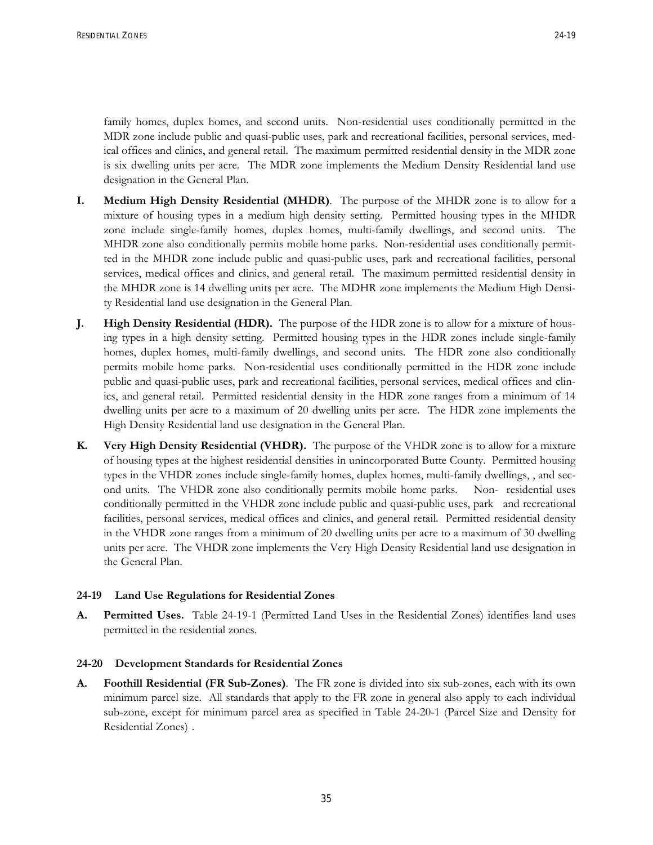RESIDENTIAL ZONES 24-19

family homes, duplex homes, and second units. Non-residential uses conditionally permitted in the MDR zone include public and quasi-public uses, park and recreational facilities, personal services, medical offices and clinics, and general retail. The maximum permitted residential density in the MDR zone is six dwelling units per acre. The MDR zone implements the Medium Density Residential land use designation in the General Plan.

- **I. Medium High Density Residential (MHDR)**. The purpose of the MHDR zone is to allow for a mixture of housing types in a medium high density setting. Permitted housing types in the MHDR zone include single-family homes, duplex homes, multi-family dwellings, and second units. The MHDR zone also conditionally permits mobile home parks. Non-residential uses conditionally permitted in the MHDR zone include public and quasi-public uses, park and recreational facilities, personal services, medical offices and clinics, and general retail. The maximum permitted residential density in the MHDR zone is 14 dwelling units per acre. The MDHR zone implements the Medium High Density Residential land use designation in the General Plan.
- **J. High Density Residential (HDR).** The purpose of the HDR zone is to allow for a mixture of housing types in a high density setting. Permitted housing types in the HDR zones include single-family homes, duplex homes, multi-family dwellings, and second units. The HDR zone also conditionally permits mobile home parks. Non-residential uses conditionally permitted in the HDR zone include public and quasi-public uses, park and recreational facilities, personal services, medical offices and clinics, and general retail. Permitted residential density in the HDR zone ranges from a minimum of 14 dwelling units per acre to a maximum of 20 dwelling units per acre. The HDR zone implements the High Density Residential land use designation in the General Plan.
- **K. Very High Density Residential (VHDR).** The purpose of the VHDR zone is to allow for a mixture of housing types at the highest residential densities in unincorporated Butte County. Permitted housing types in the VHDR zones include single-family homes, duplex homes, multi-family dwellings, , and second units. The VHDR zone also conditionally permits mobile home parks. Non- residential uses conditionally permitted in the VHDR zone include public and quasi-public uses, park and recreational facilities, personal services, medical offices and clinics, and general retail. Permitted residential density in the VHDR zone ranges from a minimum of 20 dwelling units per acre to a maximum of 30 dwelling units per acre. The VHDR zone implements the Very High Density Residential land use designation in the General Plan.

## **24-19 Land Use Regulations for Residential Zones**

**A. Permitted Uses.** Table 24-19-1 (Permitted Land Uses in the Residential Zones) identifies land uses permitted in the residential zones.

#### **24-20 Development Standards for Residential Zones**

**A. Foothill Residential (FR Sub-Zones)**. The FR zone is divided into six sub-zones, each with its own minimum parcel size. All standards that apply to the FR zone in general also apply to each individual sub-zone, except for minimum parcel area as specified in Table 24-20-1 (Parcel Size and Density for Residential Zones) .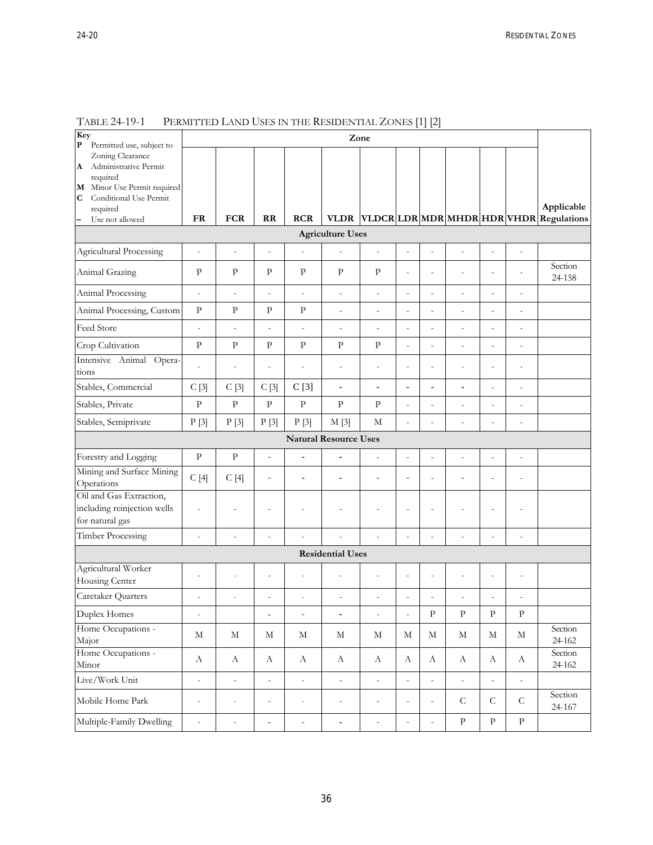| ×<br>۰. |
|---------|
|         |

| Key<br>$\mathbf P$<br>Permitted use, subject to                                                                                    | Zone                     |                          |                          |                          |                              |                          |                          |                              |                          |                              |                          |                                         |
|------------------------------------------------------------------------------------------------------------------------------------|--------------------------|--------------------------|--------------------------|--------------------------|------------------------------|--------------------------|--------------------------|------------------------------|--------------------------|------------------------------|--------------------------|-----------------------------------------|
| Zoning Clearance<br>Administrative Permit<br>A<br>required<br>M Minor Use Permit required<br>$\mathbf C$<br>Conditional Use Permit |                          |                          |                          |                          |                              |                          |                          |                              |                          |                              |                          |                                         |
| required                                                                                                                           | <b>FR</b>                | <b>FCR</b>               | $\mathbf{R}$             | <b>RCR</b>               | <b>VLDR</b>                  |                          |                          |                              |                          |                              |                          | Applicable                              |
| Use not allowed                                                                                                                    |                          |                          |                          |                          | <b>Agriculture Uses</b>      |                          |                          |                              |                          |                              |                          | VLDCR LDR MDR MHDR HDR VHDR Regulations |
|                                                                                                                                    |                          |                          |                          |                          |                              |                          |                          |                              |                          |                              |                          |                                         |
| Agricultural Processing                                                                                                            | $\overline{a}$           | $\overline{a}$           | $\overline{\phantom{m}}$ | $\overline{a}$           |                              | $\centerdot$             | $\centerdot$             | $\overline{a}$               | $\frac{1}{2}$            | $\frac{1}{2}$                | $\frac{1}{2}$            |                                         |
| Animal Grazing                                                                                                                     | $\mathbf{P}$             | $\rm P$                  | $\mathbf{P}$             | $\mathbf{P}$             | $\mathbf{P}$                 | $\mathbf{P}$             | $\overline{a}$           | $\overline{a}$               | $\overline{a}$           | $\overline{a}$               | $\overline{a}$           | Section<br>24-158                       |
| Animal Processing                                                                                                                  | $\overline{a}$           | $\overline{\phantom{0}}$ | $\overline{a}$           | $\overline{\phantom{a}}$ | $\overline{\phantom{0}}$     | $\frac{1}{2}$            | $\overline{a}$           | $\overline{a}$               | $\overline{\phantom{0}}$ | $\centerdot$                 | $\overline{a}$           |                                         |
| Animal Processing, Custom                                                                                                          | ${\bf p}$                | $\rm P$                  | $\mathbf{P}$             | $\rm{P}$                 | $\qquad \qquad \blacksquare$ | $\overline{a}$           | $\overline{a}$           | $\qquad \qquad \blacksquare$ | $\overline{\phantom{0}}$ | $\qquad \qquad \blacksquare$ | $\overline{a}$           |                                         |
| Feed Store                                                                                                                         | $\overline{a}$           | $\overline{a}$           | $\overline{a}$           | $\overline{a}$           | $\overline{a}$               | $\overline{a}$           | $\overline{a}$           | $\overline{a}$               | $\overline{a}$           | $\overline{\phantom{m}}$     | $\overline{a}$           |                                         |
| Crop Cultivation                                                                                                                   | $\mathbf{p}$             | $\mathbf{P}$             | $\mathbf{P}$             | $\mathbf{P}$             | $\mathbf{P}$                 | $\mathbf{p}$             | $\overline{a}$           | $\overline{a}$               | $\overline{a}$           | $\overline{a}$               | $\overline{a}$           |                                         |
| Intensive Animal Opera-<br>tions                                                                                                   |                          | $\overline{a}$           | $\overline{a}$           | $\overline{a}$           | $\overline{a}$               | $\overline{a}$           | $\overline{a}$           | $\overline{a}$               | $\overline{a}$           | $\overline{a}$               | $\overline{a}$           |                                         |
| Stables, Commercial                                                                                                                | C[3]                     | C[3]                     | C[3]                     | C[3]                     | $\overline{\phantom{a}}$     | $\blacksquare$           | $\overline{\phantom{a}}$ | $\overline{\phantom{a}}$     | $\overline{\phantom{0}}$ | $\overline{a}$               | $\overline{a}$           |                                         |
| Stables, Private                                                                                                                   | $\mathbf{p}$             | $\mathbf{P}$             | $\rm{P}$                 | $\mathbf{P}$             | $\mathbf{P}$                 | $\mathbf{P}$             | $\overline{a}$           | $\overline{a}$               | $\overline{\phantom{0}}$ | $\overline{\phantom{m}}$     | $\overline{\phantom{0}}$ |                                         |
| Stables, Semiprivate                                                                                                               | P[3]                     | P[3]                     | P[3]                     | P[3]                     | M[3]                         | M                        | $\overline{a}$           |                              | $\overline{a}$           | $\overline{a}$               | $\overline{a}$           |                                         |
| <b>Natural Resource Uses</b>                                                                                                       |                          |                          |                          |                          |                              |                          |                          |                              |                          |                              |                          |                                         |
| Forestry and Logging                                                                                                               | $\mathbf{P}$             | ${\bf p}$                | $\overline{a}$           | $\overline{a}$           | $\overline{a}$               | $\overline{a}$           | $\overline{a}$           | $\overline{a}$               | $\overline{a}$           | $\overline{a}$               | $\overline{a}$           |                                         |
| Mining and Surface Mining<br>Operations                                                                                            | C[4]                     | C[4]                     | $\overline{\phantom{0}}$ | $\overline{a}$           | $\overline{a}$               | $\overline{a}$           | $\overline{a}$           | $\overline{a}$               | $\overline{a}$           | $\overline{a}$               | L,                       |                                         |
| Oil and Gas Extraction,<br>including reinjection wells<br>for natural gas                                                          | $\overline{a}$           | $\overline{a}$           | $\overline{a}$           | $\overline{a}$           | $\overline{a}$               | $\overline{a}$           | $\overline{a}$           | $\overline{a}$               | $\overline{a}$           | $\overline{a}$               | $\overline{a}$           |                                         |
| Timber Processing                                                                                                                  | $\overline{a}$           | $\overline{a}$           | $\overline{a}$           |                          |                              | $\overline{a}$           | $\overline{a}$           |                              | $\overline{a}$           | $\overline{a}$               | $\overline{a}$           |                                         |
|                                                                                                                                    |                          |                          |                          |                          | <b>Residential Uses</b>      |                          |                          |                              |                          |                              |                          |                                         |
| Agricultural Worker<br>Housing Center                                                                                              | $\overline{a}$           | ÷                        | $\overline{a}$           |                          |                              | ÷,                       | $\overline{a}$           | $\overline{a}$               | L,                       | $\overline{a}$               | $\overline{a}$           |                                         |
| Caretaker Quarters                                                                                                                 | $\overline{\phantom{a}}$ |                          | $\overline{a}$           |                          | $\overline{a}$               | $\overline{a}$           | $\overline{a}$           |                              | $\overline{a}$           | $\overline{a}$               | $\overline{a}$           |                                         |
| Duplex Homes                                                                                                                       | $\overline{a}$           |                          | $\overline{a}$           | L,                       | $\overline{a}$               | $\overline{\phantom{m}}$ | $\overline{a}$           | $\overline{P}$               | $\, {\bf p}$             | $\, {\bf p}$                 | $\rm P$                  |                                         |
| Home Occupations -<br>Major                                                                                                        | $\mathbf M$              | $\mathbf M$              | $\mathbf M$              | $\mathbf M$              | $\mathbf M$                  | $\mathbf M$              | $\mathbf M$              | $\mathbf M$                  | $\mathbf M$              | $\mathbf M$                  | $\mathbf M$              | Section<br>24-162                       |
| Home Occupations -<br>Minor                                                                                                        | $\boldsymbol{A}$         | $\mathbf{A}$             | $\boldsymbol{A}$         | A                        | A                            | $\boldsymbol{A}$         | $\boldsymbol{A}$         | $\boldsymbol{A}$             | $\boldsymbol{A}$         | $\boldsymbol{A}$             | А                        | Section<br>24-162                       |
| Live/Work Unit                                                                                                                     | $\overline{\phantom{0}}$ | $\overline{\phantom{0}}$ | $\frac{1}{2}$            | $\overline{\phantom{a}}$ | $\overline{\phantom{0}}$     | $\overline{\phantom{a}}$ | $\overline{\phantom{0}}$ | $\overline{\phantom{0}}$     | $\frac{1}{2}$            | $\overline{\phantom{0}}$     | $\overline{\phantom{0}}$ |                                         |
| Mobile Home Park                                                                                                                   | $\overline{a}$           | ÷                        | $\frac{1}{2}$            | ÷                        | $\qquad \qquad \blacksquare$ | $\overline{\phantom{a}}$ | $\overline{\phantom{a}}$ | $\centerdot$                 | $\mathsf C$              | ${\cal C}$                   | ${\cal C}$               | Section<br>24-167                       |
| Multiple-Family Dwelling                                                                                                           | ÷                        | ÷,                       | $\overline{\phantom{0}}$ | ä,                       | $\overline{\phantom{a}}$     | $\Box$                   | $\bar{\phantom{a}}$      | $\overline{\phantom{0}}$     | ${\bf p}$                | ${\bf p}$                    | $\rm{P}$                 |                                         |

TABLE 24-19-1 PERMITTED LAND USES IN THE RESIDENTIAL ZONES [1] [2]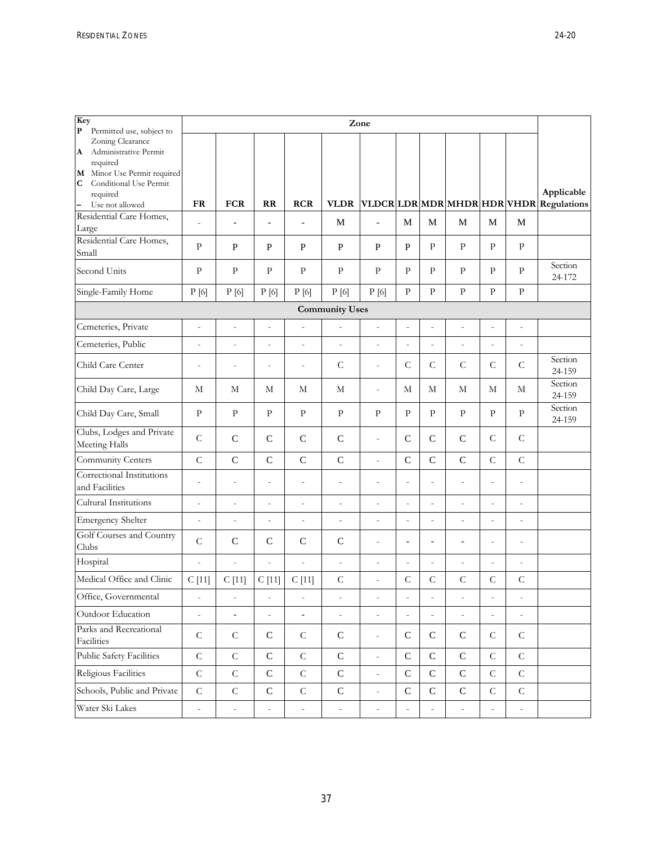| Key<br>$\mathbf{P}$<br>Permitted use, subject to                                                                         | Zone                     |                          |                          |                          |                          |                          |                          |                          |                          |                          |                          |                                         |
|--------------------------------------------------------------------------------------------------------------------------|--------------------------|--------------------------|--------------------------|--------------------------|--------------------------|--------------------------|--------------------------|--------------------------|--------------------------|--------------------------|--------------------------|-----------------------------------------|
| Zoning Clearance<br>Administrative Permit<br>A<br>required<br>M Minor Use Permit required<br>Conditional Use Permit<br>C |                          |                          |                          |                          |                          |                          |                          |                          |                          |                          |                          | Applicable                              |
| required<br>$\left  - \right $<br>Use not allowed                                                                        | <b>FR</b>                | <b>FCR</b>               | RR                       | <b>RCR</b>               | <b>VLDR</b>              |                          |                          |                          |                          |                          |                          | VLDCR LDR MDR MHDR HDR VHDR Regulations |
| Residential Care Homes,<br>Large                                                                                         | $\overline{a}$           | $\overline{\phantom{a}}$ | $\overline{\phantom{a}}$ | $\blacksquare$           | $\mathbf M$              | $\overline{a}$           | M                        | $\mathbf M$              | $\mathbf M$              | $\mathbf M$              | M                        |                                         |
| Residential Care Homes,<br>Small                                                                                         | P                        | P                        | P                        | $\mathbf{P}$             | $\mathbf{P}$             | P                        | $\mathbf{P}$             | P                        | $\mathbf{P}$             | $\mathbf{P}$             | $\mathbf{P}$             |                                         |
| Second Units                                                                                                             | $\mathbf{P}$             | $\mathbf{P}$             | $\mathbf{P}$             | $\mathbf{P}$             | $\mathbf{P}$             | $\mathbf{P}$             | $\mathbf{P}$             | P                        | P                        | $\mathbf{P}$             | P                        | Section<br>24-172                       |
| Single-Family Home                                                                                                       | P[6]                     | P[6]                     | P[6]                     | P[6]                     | P[6]                     | P[6]                     | $\mathbf{P}$             | $\mathbf{P}$             | $\mathbf{P}$             | $\mathbf{P}$             | $\mathbf{P}$             |                                         |
| <b>Community Uses</b>                                                                                                    |                          |                          |                          |                          |                          |                          |                          |                          |                          |                          |                          |                                         |
| Cemeteries, Private                                                                                                      | $\overline{a}$           | $\overline{a}$           | $\centerdot$             | $\overline{a}$           | $\overline{a}$           | $\overline{\phantom{m}}$ | $\overline{\phantom{a}}$ |                          | $\overline{a}$           | $\overline{a}$           | $\overline{a}$           |                                         |
| Cemeteries, Public                                                                                                       | $\qquad \qquad -$        | $\overline{\phantom{a}}$ | $\overline{\phantom{a}}$ | $\overline{\phantom{a}}$ | $\overline{\phantom{a}}$ | $\bar{ }$                | $\overline{\phantom{a}}$ | $\overline{a}$           | $\frac{1}{2}$            | $\overline{\phantom{m}}$ | $\overline{\phantom{0}}$ |                                         |
| Child Care Center                                                                                                        | $\overline{a}$           | $\overline{a}$           | $\overline{a}$           | $\overline{a}$           | $\mathsf{C}$             | $\bar{ }$                | $\mathsf C$              | $\mathsf C$              | $\mathsf C$              | $\mathsf{C}$             | $\mathsf C$              | Section<br>24-159                       |
| Child Day Care, Large                                                                                                    | М                        | М                        | М                        | М                        | М                        | $\overline{\phantom{m}}$ | М                        | М                        | М                        | М                        | М                        | Section<br>24-159                       |
| Child Day Care, Small                                                                                                    | P                        | P                        | P                        | P                        | $\mathbf{P}$             | P                        | $\mathbf{P}$             | P                        | P                        | $\mathbf{P}$             | P                        | Section<br>24-159                       |
| Clubs, Lodges and Private<br>Meeting Halls                                                                               | $\mathcal{C}$            | $\mathbf C$              | $\mathsf{C}$             | $\mathbf C$              | $\mathbf C$              | $\overline{a}$           | $\mathsf C$              | $\mathbf C$              | $\mathbf C$              | $\mathsf C$              | $\mathsf C$              |                                         |
| Community Centers                                                                                                        | $\overline{C}$           | $\overline{C}$           | $\mathsf{C}$             | $\mathsf{C}$             | $\mathsf{C}$             | $\overline{\phantom{0}}$ | $\mathbf C$              | $\mathsf{C}$             | $\mathbf C$              | $\overline{C}$           | $\mathsf C$              |                                         |
| Correctional Institutions<br>and Facilities                                                                              | $\overline{a}$           | $\overline{a}$           | $\overline{a}$           | $\overline{a}$           | $\overline{a}$           | $\overline{a}$           | $\overline{\phantom{a}}$ | $\overline{a}$           | $\overline{a}$           | $\overline{a}$           | $\overline{a}$           |                                         |
| Cultural Institutions                                                                                                    | $\qquad \qquad -$        | $\overline{\phantom{m}}$ | $\overline{\phantom{a}}$ | $\qquad \qquad -$        | $\overline{\phantom{a}}$ | $\overline{\phantom{m}}$ | $\overline{\phantom{a}}$ | $\overline{\phantom{a}}$ | $\frac{1}{2}$            | $\frac{1}{2}$            | $\overline{a}$           |                                         |
| <b>Emergency Shelter</b>                                                                                                 | $\overline{\phantom{0}}$ | $\overline{\phantom{a}}$ | $\overline{a}$           | $\overline{\phantom{m}}$ | $\overline{\phantom{m}}$ | $\overline{a}$           | $\overline{\phantom{a}}$ | $\overline{a}$           | $\overline{a}$           | $\overline{a}$           | $\overline{a}$           |                                         |
| Golf Courses and Country<br>Clubs                                                                                        | $\mathcal{C}$            | $\mathsf{C}$             | $\mathbf C$              | $\mathsf C$              | $\mathbf C$              | $\overline{a}$           | $\blacksquare$           | $\overline{\phantom{a}}$ | ÷                        | $\overline{a}$           | $\overline{a}$           |                                         |
| Hospital                                                                                                                 | $\overline{\phantom{0}}$ | $\overline{\phantom{a}}$ | $\overline{\phantom{0}}$ | $\bar{\phantom{a}}$      | $\overline{\phantom{a}}$ | $\overline{\phantom{a}}$ | $\overline{\phantom{a}}$ | $\overline{a}$           | $\frac{1}{2}$            | $\overline{\phantom{a}}$ | $\overline{\phantom{a}}$ |                                         |
| Medical Office and Clinic                                                                                                | C[11]                    | C[11]                    | C[11]                    | C[11]                    | $\mathsf C$              | $\overline{a}$           | $\mathsf C$              | $\mathsf C$              | $\mathsf C$              | $\mathsf{C}$             | $\mathsf C$              |                                         |
| Office, Governmental                                                                                                     |                          |                          |                          |                          |                          |                          |                          |                          |                          |                          |                          |                                         |
| Outdoor Education                                                                                                        | $\frac{1}{2}$            | $\overline{\phantom{a}}$ | $\overline{\phantom{a}}$ | ÷,                       | $\overline{\phantom{a}}$ | $\overline{\phantom{a}}$ | $\mathbb{Z}^2$           | $\overline{\phantom{a}}$ | $\overline{\phantom{a}}$ | $\overline{\phantom{a}}$ | $\overline{\phantom{a}}$ |                                         |
| Parks and Recreational<br>Facilities                                                                                     | ${\cal C}$               | ${\bf C}$                | ${\bf C}$                | ${\cal C}$               | ${\bf C}$                | $\bar{\phantom{a}}$      | ${\bf C}$                | ${\bf C}$                | ${\bf C}$                | ${\cal C}$               | ${\cal C}$               |                                         |
| Public Safety Facilities                                                                                                 | $\overline{C}$           | ${\cal C}$               | ${\bf C}$                | $\mathsf C$              | ${\bf C}$                | $\overline{\phantom{a}}$ | ${\bf C}$                | ${\bf C}$                | $\mathbf C$              | $\mathsf C$              | $\mathsf C$              |                                         |
| Religious Facilities                                                                                                     | $\mathsf{C}$             | $\mathsf C$              | ${\bf C}$                | $\mathsf C$              | ${\bf C}$                | $\overline{\phantom{a}}$ | ${\bf C}$                | ${\bf C}$                | ${\bf C}$                | $\mathsf C$              | ${\cal C}$               |                                         |
| Schools, Public and Private                                                                                              | ${\cal C}$               | ${\cal C}$               | ${\bf C}$                | ${\bf C}$                | ${\bf C}$                | $\bar{\phantom{a}}$      | ${\bf C}$                | ${\bf C}$                | ${\bf C}$                | $\mathsf{C}$             | ${\cal C}$               |                                         |
| Water Ski Lakes                                                                                                          | $\overline{\phantom{0}}$ | $\overline{\phantom{m}}$ | $\overline{\phantom{a}}$ | $\overline{a}$           | $\overline{\phantom{a}}$ | $\overline{\phantom{0}}$ | $\bar{\phantom{a}}$      |                          | $\overline{\phantom{m}}$ | $\centerdot$             | $\overline{\phantom{0}}$ |                                         |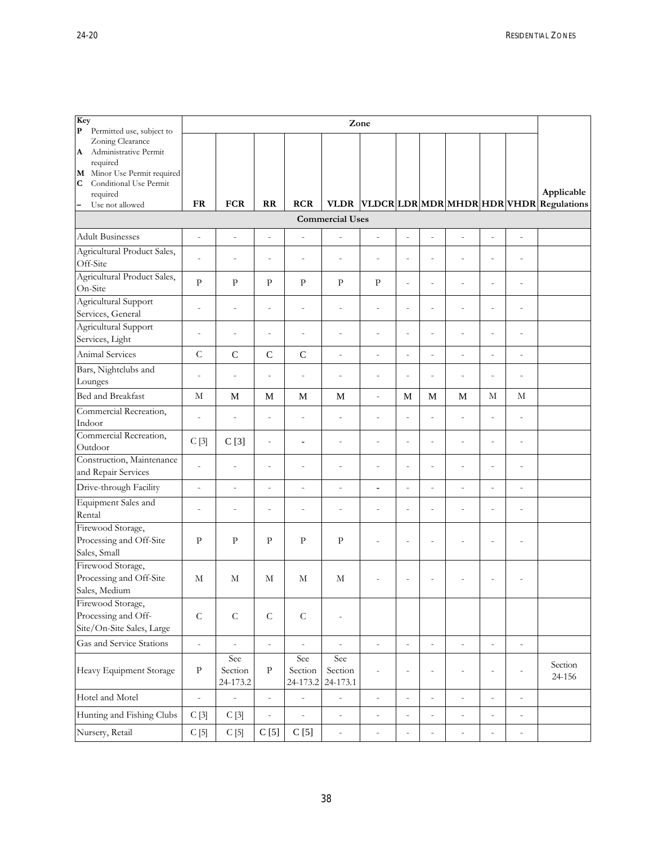| Key<br>$\mathbf P$<br>Permitted use, subject to                                                                                      | Zone                     |                              |                              |                            |                            |                              |                          |                          |                              |                          |                          |                                        |
|--------------------------------------------------------------------------------------------------------------------------------------|--------------------------|------------------------------|------------------------------|----------------------------|----------------------------|------------------------------|--------------------------|--------------------------|------------------------------|--------------------------|--------------------------|----------------------------------------|
| Zoning Clearance<br>Administrative Permit<br>A<br>required<br>M Minor Use Permit required<br>Conditional Use Permit<br>C<br>required |                          |                              |                              |                            |                            |                              |                          |                          |                              |                          |                          | Applicable                             |
| Use not allowed<br>$\qquad \qquad -$                                                                                                 | <b>FR</b>                | <b>FCR</b>                   | RR                           | <b>RCR</b>                 | <b>VLDR</b>                |                              |                          |                          |                              |                          |                          | VLDCRLDR MDR MHDR HDR VHDR Regulations |
| <b>Commercial Uses</b>                                                                                                               |                          |                              |                              |                            |                            |                              |                          |                          |                              |                          |                          |                                        |
| <b>Adult Businesses</b>                                                                                                              | $\overline{\phantom{a}}$ | $\overline{\phantom{0}}$     | $\overline{\phantom{0}}$     | $\overline{\phantom{0}}$   | $\overline{a}$             | $\centerdot$                 | $\overline{\phantom{0}}$ | $\overline{a}$           | $\centerdot$                 | $\centerdot$             | $\overline{a}$           |                                        |
| Agricultural Product Sales,<br>Off-Site                                                                                              | $\overline{a}$           | ÷                            | $\overline{a}$               | $\overline{a}$             |                            |                              | $\overline{a}$           |                          | $\overline{a}$               | $\overline{a}$           | $\overline{a}$           |                                        |
| Agricultural Product Sales,<br>On-Site                                                                                               | $\mathbf{P}$             | $\mathbf{P}$                 | P                            | $\mathbf{P}$               | $\mathbf{P}$               | $\mathbf{P}$                 | $\overline{\phantom{a}}$ | $\overline{a}$           | $\overline{a}$               | $\overline{a}$           | $\overline{a}$           |                                        |
| Agricultural Support<br>Services, General                                                                                            | $\overline{a}$           | $\overline{a}$               | ÷                            | $\overline{a}$             | $\overline{a}$             | $\overline{a}$               | $\overline{a}$           | $\overline{a}$           | $\overline{a}$               | $\overline{a}$           | $\overline{a}$           |                                        |
| Agricultural Support<br>Services, Light                                                                                              | $\overline{a}$           | $\qquad \qquad \blacksquare$ | $\qquad \qquad \blacksquare$ | $\overline{\phantom{0}}$   | $\overline{a}$             | $\overline{a}$               | $\overline{a}$           | $\overline{a}$           | $\overline{a}$               | $\overline{a}$           | $\overline{a}$           |                                        |
| Animal Services                                                                                                                      | $\mathcal{C}$            | $\mathsf{C}$                 | $\mathcal{C}$                | $\mathsf{C}$               | $\overline{a}$             | $\overline{a}$               | $\overline{\phantom{m}}$ | $\overline{a}$           | $\overline{a}$               | L,                       | $\overline{a}$           |                                        |
| Bars, Nightclubs and<br>Lounges                                                                                                      | $\overline{a}$           | $\overline{a}$               | $\qquad \qquad \blacksquare$ | $\overline{a}$             | $\overline{a}$             | $\overline{a}$               | $\overline{\phantom{a}}$ | $\overline{a}$           | $\overline{a}$               | $\overline{a}$           | $\overline{a}$           |                                        |
| Bed and Breakfast                                                                                                                    | М                        | M                            | M                            | M                          | M                          | $\overline{a}$               | M                        | M                        | M                            | М                        | М                        |                                        |
| Commercial Recreation,<br>Indoor                                                                                                     | $\overline{a}$           | $\overline{\phantom{m}}$     | $\overline{a}$               | $\overline{a}$             | $\overline{\phantom{a}}$   | $\overline{a}$               | $\overline{\phantom{a}}$ | $\overline{a}$           | $\overline{a}$               | $\overline{a}$           | $\overline{a}$           |                                        |
| Commercial Recreation,<br>Outdoor                                                                                                    | C[3]                     | C[3]                         | $\overline{a}$               | $\overline{a}$             | $\overline{a}$             | $\overline{a}$               | $\overline{a}$           | $\overline{a}$           | $\overline{a}$               | i,                       | $\overline{a}$           |                                        |
| Construction, Maintenance<br>and Repair Services                                                                                     | $\overline{\phantom{m}}$ | $\overline{a}$               | $\overline{a}$               | L,                         | $\overline{a}$             | $\overline{a}$               | $\overline{\phantom{a}}$ | L                        | $\overline{a}$               | $\overline{a}$           | $\overline{a}$           |                                        |
| Drive-through Facility                                                                                                               | $\overline{a}$           | $\overline{a}$               | $\overline{a}$               | $\overline{a}$             | $\overline{a}$             | $\overline{\phantom{a}}$     | $\overline{a}$           | L,                       | $\overline{a}$               | $\overline{a}$           | $\overline{a}$           |                                        |
| <b>Equipment Sales and</b><br>Rental                                                                                                 |                          |                              | $\overline{a}$               | $\overline{a}$             | $\overline{a}$             |                              | $\overline{a}$           | $\overline{a}$           | $\overline{a}$               | $\overline{a}$           | $\overline{a}$           |                                        |
| Firewood Storage,<br>Processing and Off-Site<br>Sales, Small                                                                         | P                        | P                            | P                            | $\mathbf{p}$               | P                          |                              | $\overline{a}$           | $\overline{a}$           |                              | L,                       |                          |                                        |
| Firewood Storage,<br>Processing and Off-Site<br>Sales, Medium                                                                        | М                        | М                            | М                            | М                          | М                          |                              |                          |                          |                              |                          |                          |                                        |
| Firewood Storage,<br>Processing and Off-<br>Site/On-Site Sales, Large                                                                | ${\cal C}$               | ${\cal C}$                   | $\mathsf C$                  | $\mathsf C$                |                            |                              |                          |                          |                              |                          |                          |                                        |
| Gas and Service Stations                                                                                                             | $\overline{\phantom{a}}$ | $\overline{a}$               | $\bar{\phantom{a}}$          | $\overline{a}$             | $\overline{a}$             | $\overline{\phantom{a}}$     | $\overline{\phantom{a}}$ | $\overline{a}$           | $\overline{\phantom{a}}$     | $\overline{\phantom{a}}$ | $\centerdot$             |                                        |
| Heavy Equipment Storage                                                                                                              | $\, {\bf p}$             | See<br>Section<br>24-173.2   | $\rm{P}$                     | See<br>Section<br>24-173.2 | See<br>Section<br>24-173.1 | $\bar{\phantom{a}}$          | $\overline{\phantom{a}}$ | $\overline{a}$           | $\qquad \qquad \blacksquare$ | $\overline{a}$           |                          | Section<br>24-156                      |
| Hotel and Motel                                                                                                                      | $\overline{\phantom{a}}$ | $\overline{a}$               | $\bar{\phantom{a}}$          | $\overline{a}$             | $\overline{\phantom{0}}$   | $\overline{\phantom{0}}$     | $\overline{\phantom{a}}$ | $\overline{a}$           | $\overline{\phantom{0}}$     | $\overline{\phantom{a}}$ | $\overline{\phantom{0}}$ |                                        |
| Hunting and Fishing Clubs                                                                                                            | C[3]                     | C[3]                         | $\overline{\phantom{a}}$     | $\bar{\phantom{a}}$        | $\overline{\phantom{a}}$   | $\bar{ }$                    | $\overline{\phantom{a}}$ | $\overline{\phantom{m}}$ | $\qquad \qquad -$            | $\overline{\phantom{a}}$ | $\overline{\phantom{m}}$ |                                        |
| Nursery, Retail                                                                                                                      | C[5]                     | C[5]                         | C[5]                         | C[5]                       | $\overline{\phantom{a}}$   | $\qquad \qquad \blacksquare$ | $\overline{\phantom{m}}$ | $\overline{a}$           | $\overline{\phantom{m}}$     | $\overline{\phantom{m}}$ | $\overline{a}$           |                                        |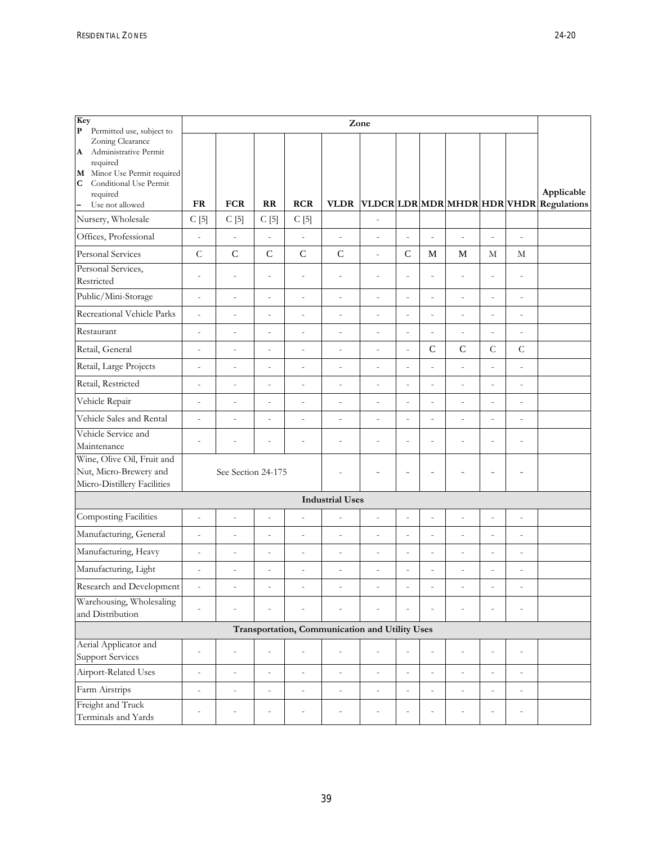| Key<br>${\bf P}$<br>Permitted use, subject to                                                                                                           | Zone                     |                          |                              |                          |                                                |                          |                          |                          |                          |                          |                          |                                                 |
|---------------------------------------------------------------------------------------------------------------------------------------------------------|--------------------------|--------------------------|------------------------------|--------------------------|------------------------------------------------|--------------------------|--------------------------|--------------------------|--------------------------|--------------------------|--------------------------|-------------------------------------------------|
| Zoning Clearance<br>Administrative Permit<br>A<br>required<br>M Minor Use Permit required<br>Conditional Use Permit<br>C<br>required<br>Use not allowed | <b>FR</b>                | <b>FCR</b>               | RR                           | <b>RCR</b>               | <b>VLDR</b>                                    |                          |                          |                          |                          |                          |                          | Applicable<br>VLDCRLDRMDRMHDRHDRVHDRRegulations |
| Nursery, Wholesale                                                                                                                                      | C[5]                     | C[5]                     | C[5]                         | C[5]                     |                                                |                          |                          |                          |                          |                          |                          |                                                 |
| Offices, Professional                                                                                                                                   | $\overline{a}$           | $\frac{1}{2}$            | $\overline{a}$               | $\overline{a}$           | $\overline{a}$                                 |                          | $\overline{a}$           | $\overline{a}$           | $\overline{a}$           | L,                       | $\overline{a}$           |                                                 |
| <b>Personal Services</b>                                                                                                                                | $\overline{C}$           | $\mathsf{C}$             | $\mathsf{C}$                 | $\mathbf C$              | $\mathsf{C}$                                   | $\overline{a}$           | $\mathbf C$              | M                        | M                        | $\mathbf M$              | $\mathbf{M}$             |                                                 |
| Personal Services,<br>Restricted                                                                                                                        | $\overline{a}$           | $\overline{a}$           | $\overline{a}$               | $\overline{a}$           | $\overline{a}$                                 | $\overline{a}$           | $\overline{\phantom{a}}$ | $\overline{a}$           | $\overline{a}$           | $\overline{a}$           | $\overline{a}$           |                                                 |
| Public/Mini-Storage                                                                                                                                     | $\overline{\phantom{a}}$ | $\overline{\phantom{a}}$ | $\overline{a}$               | $\overline{\phantom{m}}$ | $\overline{\phantom{a}}$                       | $\overline{a}$           | $\centerdot$             | $\overline{\phantom{a}}$ | $\overline{a}$           | $\overline{\phantom{a}}$ | $\overline{a}$           |                                                 |
| Recreational Vehicle Parks                                                                                                                              | $\overline{a}$           | $\overline{a}$           | $\overline{a}$               | $\overline{a}$           | $\overline{a}$                                 | $\overline{a}$           | $\overline{\phantom{m}}$ | $\overline{a}$           | $\overline{a}$           | $\overline{a}$           | $\overline{a}$           |                                                 |
| Restaurant                                                                                                                                              | $\overline{\phantom{0}}$ | $\overline{\phantom{0}}$ | $\centerdot$                 | $\centerdot$             | $\overline{\phantom{a}}$                       | $\overline{a}$           | $\overline{\phantom{0}}$ | $\overline{a}$           | $\overline{\phantom{0}}$ | $\overline{a}$           | $\overline{a}$           |                                                 |
| Retail, General                                                                                                                                         | $\overline{\phantom{a}}$ | $\overline{\phantom{a}}$ | $\overline{a}$               | $\centerdot$             | $\overline{a}$                                 | $\overline{a}$           | $\centerdot$             | $\mathsf{C}$             | $\mathsf C$              | $\mathsf{C}$             | $\mathsf{C}$             |                                                 |
| Retail, Large Projects                                                                                                                                  | $\frac{1}{2}$            | $\overline{a}$           | $\overline{a}$               | $\overline{a}$           | $\sim$                                         | $\overline{a}$           | $\overline{a}$           | $\overline{a}$           | $\overline{a}$           | $\overline{a}$           | $\overline{a}$           |                                                 |
| Retail, Restricted                                                                                                                                      | $\overline{a}$           | $\overline{a}$           | $\overline{a}$               | $\overline{a}$           | $\overline{a}$                                 | $\overline{a}$           | $\overline{a}$           | $\overline{a}$           | $\overline{a}$           | L,                       | $\overline{a}$           |                                                 |
| Vehicle Repair                                                                                                                                          | $\overline{\phantom{0}}$ | $\overline{\phantom{a}}$ | $\centerdot$                 | $\overline{\phantom{m}}$ | $\overline{a}$                                 | $\overline{a}$           | $\overline{a}$           | $\overline{a}$           | $\overline{\phantom{0}}$ | $\overline{a}$           | $\centerdot$             |                                                 |
| Vehicle Sales and Rental                                                                                                                                | $\frac{1}{2}$            | $\overline{a}$           | $\overline{a}$               | $\overline{a}$           | $\overline{a}$                                 | $\overline{a}$           | $\overline{a}$           | $\overline{a}$           | $\overline{a}$           | $\overline{a}$           | $\overline{a}$           |                                                 |
| Vehicle Service and<br>Maintenance                                                                                                                      | $\overline{a}$           | $\overline{a}$           | $\overline{a}$               | $\overline{a}$           | $\overline{a}$                                 | L,                       | $\overline{a}$           | $\overline{a}$           | $\overline{a}$           | $\overline{a}$           | $\overline{a}$           |                                                 |
| Wine, Olive Oil, Fruit and<br>Nut, Micro-Brewery and<br>Micro-Distillery Facilities                                                                     |                          | See Section 24-175       |                              |                          | ÷,                                             | $\overline{a}$           | $\overline{a}$           | $\overline{a}$           | L,                       | $\overline{a}$           | $\overline{\phantom{0}}$ |                                                 |
|                                                                                                                                                         |                          |                          |                              |                          | <b>Industrial Uses</b>                         |                          |                          |                          |                          |                          |                          |                                                 |
| Composting Facilities                                                                                                                                   | $\overline{\phantom{m}}$ | $\overline{\phantom{a}}$ | $\overline{a}$               | $\overline{a}$           | $\overline{a}$                                 | $\overline{a}$           | $\overline{\phantom{a}}$ | $\overline{a}$           | $\overline{a}$           | $\overline{a}$           | $\overline{a}$           |                                                 |
| Manufacturing, General                                                                                                                                  | $\overline{a}$           | $\overline{a}$           | $\overline{a}$               | $\overline{a}$           | $\overline{a}$                                 | $\overline{a}$           | $\overline{a}$           | $\overline{a}$           | $\overline{a}$           | $\overline{a}$           | $\overline{a}$           |                                                 |
| Manufacturing, Heavy                                                                                                                                    | $\overline{a}$           | $\overline{a}$           | $\overline{a}$               | $\overline{a}$           | $\overline{a}$                                 | L,                       | $\overline{a}$           | $\overline{a}$           | $\overline{a}$           | $\overline{a}$           | $\overline{a}$           |                                                 |
| Manufacturing, Light                                                                                                                                    | $\overline{a}$           | $\overline{a}$           | $\overline{a}$               | $\overline{a}$           | $\overline{a}$                                 | $\overline{a}$           | $\overline{a}$           | $\overline{a}$           | $\overline{a}$           | $\overline{a}$           | $\overline{a}$           |                                                 |
| Research and Development                                                                                                                                | $\overline{a}$           | $\overline{a}$           | $\overline{a}$               | $\bar{ }$                | $\overline{a}$                                 |                          | $\overline{a}$           | $\overline{a}$           | $\overline{a}$           | $\overline{a}$           | $\overline{a}$           |                                                 |
| Warehousing, Wholesaling<br>and Distribution                                                                                                            |                          |                          |                              |                          |                                                |                          |                          |                          |                          |                          |                          |                                                 |
|                                                                                                                                                         |                          |                          |                              |                          | Transportation, Communication and Utility Uses |                          |                          |                          |                          |                          |                          |                                                 |
| Aerial Applicator and<br><b>Support Services</b>                                                                                                        | $\overline{a}$           | $\overline{\phantom{a}}$ | $\overline{a}$               | $\overline{a}$           | $\overline{\phantom{a}}$                       | $\overline{\phantom{0}}$ | $\frac{1}{2}$            | $\overline{\phantom{a}}$ | $\overline{\phantom{0}}$ | $\overline{a}$           | $\frac{1}{2}$            |                                                 |
| Airport-Related Uses                                                                                                                                    | $\overline{a}$           | $\overline{a}$           | $\overline{a}$               | $\overline{a}$           | $\overline{a}$                                 | $\overline{a}$           | $\frac{1}{2}$            | $\overline{\phantom{a}}$ | $\overline{a}$           | $\frac{1}{2}$            | $\overline{\phantom{0}}$ |                                                 |
| Farm Airstrips                                                                                                                                          | $\overline{\phantom{0}}$ | $\overline{\phantom{a}}$ | $\overline{\phantom{a}}$     | $\overline{\phantom{a}}$ | $\overline{\phantom{a}}$                       | $\overline{a}$           | $\bar{\phantom{a}}$      | $\overline{\phantom{a}}$ | $\overline{a}$           | $\overline{\phantom{a}}$ | $\overline{\phantom{0}}$ |                                                 |
| Freight and Truck<br>Terminals and Yards                                                                                                                | L                        |                          | $\qquad \qquad \blacksquare$ | $\overline{a}$           | $\overline{a}$                                 | $\overline{a}$           | $\overline{\phantom{a}}$ |                          | $\overline{a}$           | $\overline{a}$           | $\overline{a}$           |                                                 |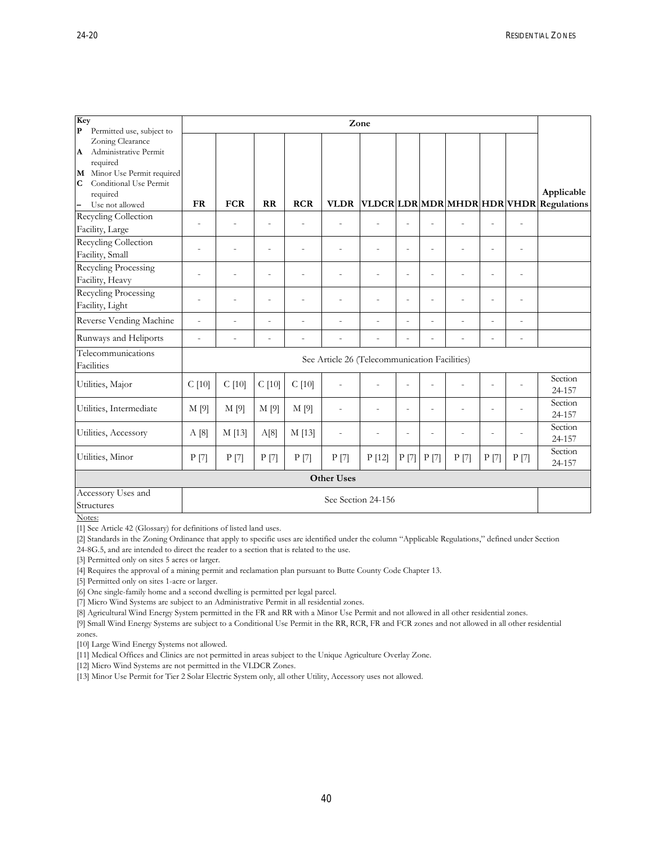| Key<br>$\mathbf{P}$<br>Permitted use, subject to       | Zone           |                          |                |                |                                               |                |                          |                |                          |                |                          |                                                 |
|--------------------------------------------------------|----------------|--------------------------|----------------|----------------|-----------------------------------------------|----------------|--------------------------|----------------|--------------------------|----------------|--------------------------|-------------------------------------------------|
| Zoning Clearance                                       |                |                          |                |                |                                               |                |                          |                |                          |                |                          |                                                 |
| Administrative Permit<br>$\mathbf{A}$                  |                |                          |                |                |                                               |                |                          |                |                          |                |                          |                                                 |
| required                                               |                |                          |                |                |                                               |                |                          |                |                          |                |                          |                                                 |
| Minor Use Permit required<br>M                         |                |                          |                |                |                                               |                |                          |                |                          |                |                          |                                                 |
| Conditional Use Permit<br>$\mathbf C$                  |                |                          |                |                |                                               |                |                          |                |                          |                |                          |                                                 |
| required                                               | <b>FR</b>      | <b>FCR</b>               | RR             | <b>RCR</b>     | <b>VLDR</b>                                   |                |                          |                |                          |                |                          | Applicable<br>VLDCRLDRMDRMHDRHDRVHDRRegulations |
| Use not allowed<br>$\qquad \qquad -$                   |                |                          |                |                |                                               |                |                          |                |                          |                |                          |                                                 |
| Recycling Collection                                   | $\overline{a}$ | $\overline{\phantom{a}}$ | $\overline{a}$ | $\overline{a}$ | $\overline{a}$                                |                | ÷                        |                | $\overline{\phantom{a}}$ | $\overline{a}$ | $\overline{\phantom{a}}$ |                                                 |
| Facility, Large                                        |                |                          |                |                |                                               |                |                          |                |                          |                |                          |                                                 |
| Recycling Collection                                   | $\overline{a}$ | $\overline{a}$           | ÷,             | ÷              | $\overline{a}$                                |                | $\overline{\phantom{a}}$ | $\overline{a}$ | L,                       | $\overline{a}$ | ÷,                       |                                                 |
| Facility, Small                                        |                |                          |                |                |                                               |                |                          |                |                          |                |                          |                                                 |
| <b>Recycling Processing</b>                            |                |                          |                |                |                                               |                |                          |                |                          |                |                          |                                                 |
| Facility, Heavy                                        |                |                          |                |                |                                               |                | L,                       |                |                          | $\overline{a}$ | ÷,                       |                                                 |
| Recycling Processing                                   |                |                          |                |                |                                               |                |                          |                |                          |                |                          |                                                 |
| Facility, Light                                        |                |                          | $\overline{a}$ |                | $\overline{a}$                                |                | $\overline{a}$           |                | L,                       | $\overline{a}$ | $\overline{a}$           |                                                 |
| Reverse Vending Machine                                | $\overline{a}$ | $\overline{a}$           | $\overline{a}$ | $\overline{a}$ | $\overline{a}$                                | ÷              | $\overline{\phantom{a}}$ | $\overline{a}$ | L,                       | $\overline{a}$ | ÷,                       |                                                 |
| Runways and Heliports                                  | $\overline{a}$ |                          | $\overline{a}$ |                | $\overline{a}$                                |                | $\overline{a}$           |                | L                        | $\overline{a}$ | $\overline{a}$           |                                                 |
| Telecommunications<br><b>Facilities</b>                |                |                          |                |                | See Article 26 (Telecommunication Facilities) |                |                          |                |                          |                |                          |                                                 |
| Utilities, Major                                       | C[10]          | $C$ [10]                 | C[10]          | $C$ [10]       | $\overline{a}$                                |                | $\overline{a}$           |                | L,                       | $\overline{a}$ |                          | Section<br>24-157                               |
| Utilities, Intermediate                                | M [9]          | M[9]                     | M [9]          | M[9]           | $\overline{\phantom{m}}$                      | $\overline{a}$ | ÷                        |                | ÷,                       | $\overline{a}$ |                          | Section                                         |
|                                                        |                |                          |                |                |                                               |                |                          |                |                          |                |                          | 24-157                                          |
| Utilities, Accessory                                   | A[8]           | M [13]                   | A[8]           | M [13]         | $\overline{a}$                                |                | $\overline{a}$           |                | ٠                        | L,             |                          | Section                                         |
|                                                        |                |                          |                |                |                                               |                |                          |                |                          |                |                          | 24-157                                          |
| Utilities, Minor                                       | P[7]           | P[7]                     | $P$ [7]        | P[7]           | P[7]                                          | P[12]          | P[7]                     | P[7]           | $P$ [7]                  | P[7]           | P[7]                     | Section<br>24-157                               |
|                                                        |                |                          |                |                | <b>Other Uses</b>                             |                |                          |                |                          |                |                          |                                                 |
| Accessory Uses and<br>See Section 24-156<br>Structures |                |                          |                |                |                                               |                |                          |                |                          |                |                          |                                                 |

Notes:

[1] See Article 42 (Glossary) for definitions of listed land uses.

[2] Standards in the Zoning Ordinance that apply to specific uses are identified under the column "Applicable Regulations," defined under Section

24-8G.5, and are intended to direct the reader to a section that is related to the use.

[3] Permitted only on sites 5 acres or larger.

[4] Requires the approval of a mining permit and reclamation plan pursuant to Butte County Code Chapter 13.

[5] Permitted only on sites 1-acre or larger.

[6] One single-family home and a second dwelling is permitted per legal parcel.

[7] Micro Wind Systems are subject to an Administrative Permit in all residential zones.

[8] Agricultural Wind Energy System permitted in the FR and RR with a Minor Use Permit and not allowed in all other residential zones.

[9] Small Wind Energy Systems are subject to a Conditional Use Permit in the RR, RCR, FR and FCR zones and not allowed in all other residential zones.

[10] Large Wind Energy Systems not allowed.

[11] Medical Offices and Clinics are not permitted in areas subject to the Unique Agriculture Overlay Zone.

[12] Micro Wind Systems are not permitted in the VLDCR Zones.

[13] Minor Use Permit for Tier 2 Solar Electric System only, all other Utility, Accessory uses not allowed.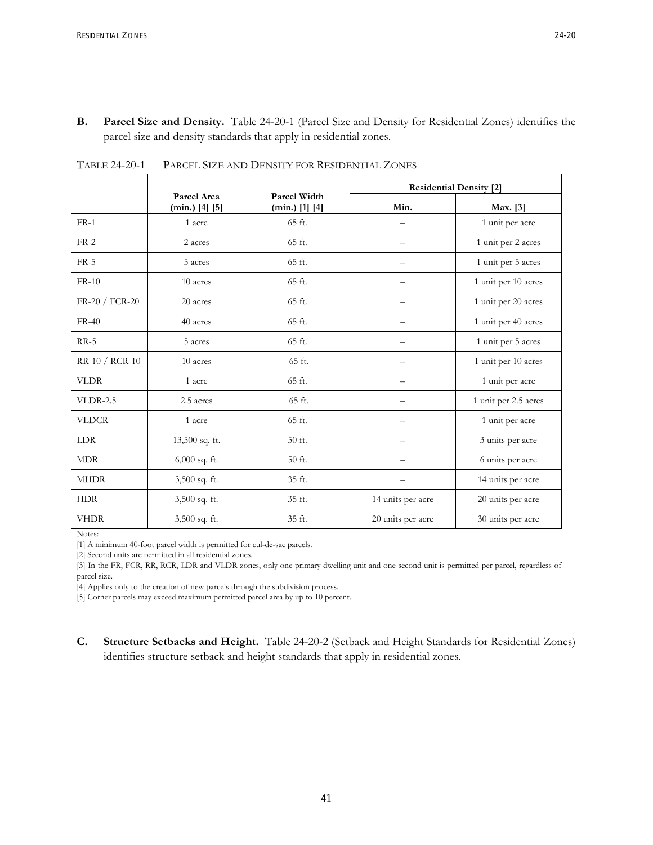**B. Parcel Size and Density.** Table 24-20-1 (Parcel Size and Density for Residential Zones) identifies the parcel size and density standards that apply in residential zones.

|                |                                 |                                  | <b>Residential Density [2]</b> |                      |  |  |  |  |
|----------------|---------------------------------|----------------------------------|--------------------------------|----------------------|--|--|--|--|
|                | Parcel Area<br>$(min.)$ [4] [5] | Parcel Width<br>$(min.)$ [1] [4] | Min.                           | Max. [3]             |  |  |  |  |
| $FR-1$         | 1 acre                          | 65 ft.                           |                                | 1 unit per acre      |  |  |  |  |
| $FR-2$         | 2 acres                         | 65 ft.                           | —                              | 1 unit per 2 acres   |  |  |  |  |
| $FR-5$         | 5 acres                         | 65 ft.                           | —                              | 1 unit per 5 acres   |  |  |  |  |
| $FR-10$        | 10 acres                        | 65 ft.                           |                                | 1 unit per 10 acres  |  |  |  |  |
| FR-20 / FCR-20 | 20 acres                        | 65 ft.                           |                                | 1 unit per 20 acres  |  |  |  |  |
| $FR-40$        | 40 acres                        | 65 ft.                           |                                | 1 unit per 40 acres  |  |  |  |  |
| $RR-5$         | 5 acres                         | 65 ft.                           |                                | 1 unit per 5 acres   |  |  |  |  |
| RR-10 / RCR-10 | 10 acres                        | 65 ft.                           |                                | 1 unit per 10 acres  |  |  |  |  |
| <b>VLDR</b>    | 1 acre                          | 65 ft.                           |                                | 1 unit per acre      |  |  |  |  |
| $VLDR-2.5$     | 2.5 acres                       | 65 ft.                           |                                | 1 unit per 2.5 acres |  |  |  |  |
| <b>VLDCR</b>   | 1 acre                          | 65 ft.                           | —                              | 1 unit per acre      |  |  |  |  |
| LDR            | 13,500 sq. ft.                  | 50 ft.                           | $\overline{\phantom{0}}$       | 3 units per acre     |  |  |  |  |
| <b>MDR</b>     | $6,000$ sq. ft.                 | 50 ft.                           | —                              | 6 units per acre     |  |  |  |  |
| <b>MHDR</b>    | 3,500 sq. ft.                   | 35 ft.                           |                                | 14 units per acre    |  |  |  |  |
| <b>HDR</b>     | 3,500 sq. ft.                   | 35 ft.                           | 14 units per acre              | 20 units per acre    |  |  |  |  |
| <b>VHDR</b>    | 3,500 sq. ft.                   | 35 ft.                           | 20 units per acre              | 30 units per acre    |  |  |  |  |

TABLE 24-20-1 PARCEL SIZE AND DENSITY FOR RESIDENTIAL ZONES

Notes:

[1] A minimum 40-foot parcel width is permitted for cul-de-sac parcels.

[2] Second units are permitted in all residential zones.

[3] In the FR, FCR, RR, RCR, LDR and VLDR zones, only one primary dwelling unit and one second unit is permitted per parcel, regardless of parcel size.

[4] Applies only to the creation of new parcels through the subdivision process.

[5] Corner parcels may exceed maximum permitted parcel area by up to 10 percent.

**C. Structure Setbacks and Height.** Table 24-20-2 (Setback and Height Standards for Residential Zones) identifies structure setback and height standards that apply in residential zones.